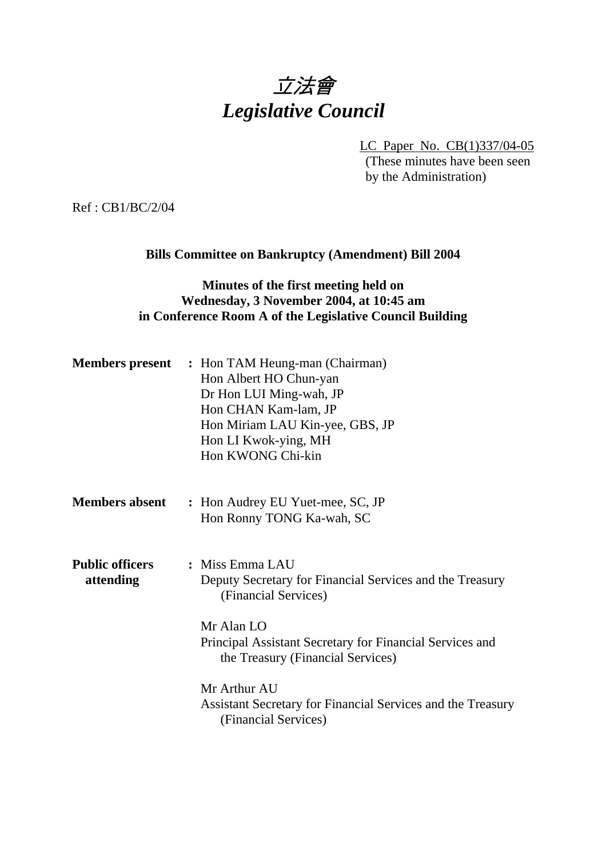# 立法會 *Legislative Council*

LC Paper No. CB(1)337/04-05 (These minutes have been seen by the Administration)

Ref : CB1/BC/2/04

#### **Bills Committee on Bankruptcy (Amendment) Bill 2004**

## **Minutes of the first meeting held on Wednesday, 3 November 2004, at 10:45 am in Conference Room A of the Legislative Council Building**

| <b>Members</b> present              | : Hon TAM Heung-man (Chairman)<br>Hon Albert HO Chun-yan<br>Dr Hon LUI Ming-wah, JP<br>Hon CHAN Kam-lam, JP<br>Hon Miriam LAU Kin-yee, GBS, JP<br>Hon LI Kwok-ying, MH<br>Hon KWONG Chi-kin                        |
|-------------------------------------|--------------------------------------------------------------------------------------------------------------------------------------------------------------------------------------------------------------------|
| <b>Members absent</b>               | : Hon Audrey EU Yuet-mee, SC, JP<br>Hon Ronny TONG Ka-wah, SC                                                                                                                                                      |
| <b>Public officers</b><br>attending | : Miss Emma LAU<br>Deputy Secretary for Financial Services and the Treasury<br>(Financial Services)<br>Mr Alan LO<br>Principal Assistant Secretary for Financial Services and<br>the Treasury (Financial Services) |
|                                     | Mr Arthur AU<br>Assistant Secretary for Financial Services and the Treasury<br>(Financial Services)                                                                                                                |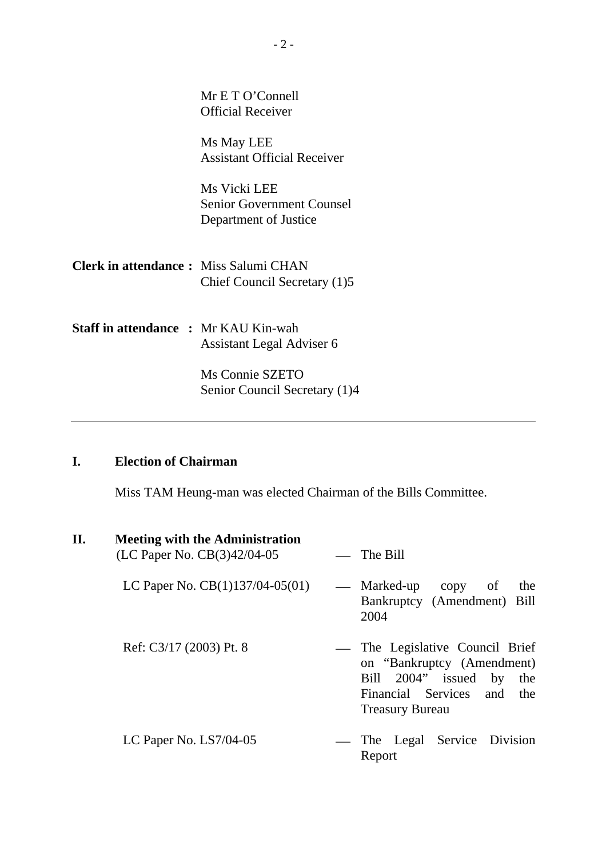|                                              | Mr E T O'Connell<br><b>Official Receiver</b>                              |
|----------------------------------------------|---------------------------------------------------------------------------|
|                                              | Ms May LEE<br><b>Assistant Official Receiver</b>                          |
|                                              | Ms Vicki LEE<br><b>Senior Government Counsel</b><br>Department of Justice |
| <b>Clerk in attendance:</b> Miss Salumi CHAN | Chief Council Secretary (1)5                                              |
| <b>Staff in attendance : Mr KAU Kin-wah</b>  | Assistant Legal Adviser 6                                                 |
|                                              | Ms Connie SZETO<br>Senior Council Secretary (1)4                          |

## **I. Election of Chairman**

Miss TAM Heung-man was elected Chairman of the Bills Committee.

| П. | <b>Meeting with the Administration</b><br>(LC Paper No. CB(3)42/04-05 | $\equiv$ The Bill                                                                                                                                    |
|----|-----------------------------------------------------------------------|------------------------------------------------------------------------------------------------------------------------------------------------------|
|    | LC Paper No. $CB(1)137/04-05(01)$                                     | — Marked-up<br>the<br>copy<br>- of<br>Bankruptcy (Amendment) Bill<br>2004                                                                            |
|    | Ref: C3/17 (2003) Pt. 8                                               | — The Legislative Council Brief<br>on "Bankruptcy (Amendment)<br>Bill 2004" issued by<br>the<br>Financial Services and the<br><b>Treasury Bureau</b> |
|    | LC Paper No. LS7/04-05                                                | — The Legal Service Division<br>Report                                                                                                               |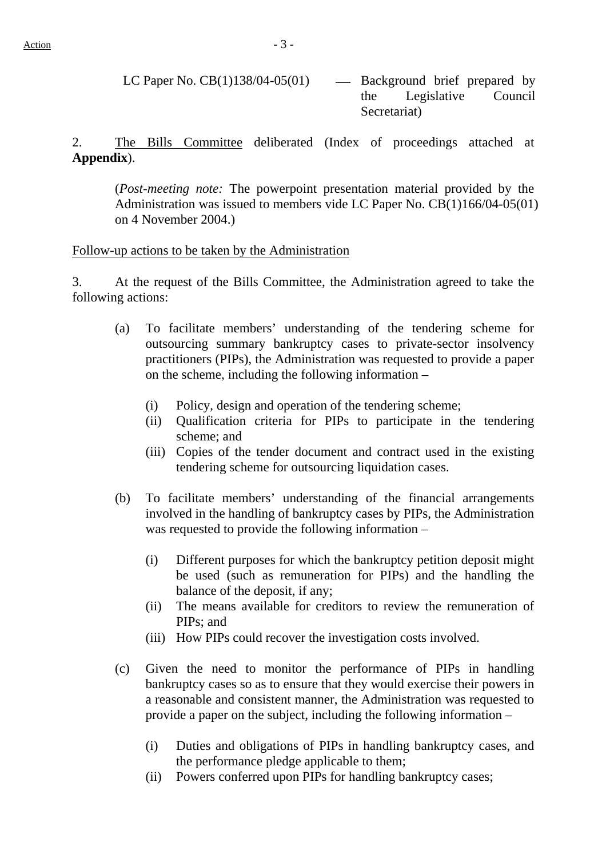LC Paper No.  $CB(1)138/04-05(01)$  — Background brief prepared by the Legislative Council Secretariat)

2. The Bills Committee deliberated (Index of proceedings attached at **Appendix**).

(*Post-meeting note:* The powerpoint presentation material provided by the Administration was issued to members vide LC Paper No. CB(1)166/04-05(01) on 4 November 2004.)

#### Follow-up actions to be taken by the Administration

3. At the request of the Bills Committee, the Administration agreed to take the following actions:

- (a) To facilitate members' understanding of the tendering scheme for outsourcing summary bankruptcy cases to private-sector insolvency practitioners (PIPs), the Administration was requested to provide a paper on the scheme, including the following information –
	- (i) Policy, design and operation of the tendering scheme;
	- (ii) Qualification criteria for PIPs to participate in the tendering scheme; and
	- (iii) Copies of the tender document and contract used in the existing tendering scheme for outsourcing liquidation cases.
- (b) To facilitate members' understanding of the financial arrangements involved in the handling of bankruptcy cases by PIPs, the Administration was requested to provide the following information –
	- (i) Different purposes for which the bankruptcy petition deposit might be used (such as remuneration for PIPs) and the handling the balance of the deposit, if any;
	- (ii) The means available for creditors to review the remuneration of PIPs; and
	- (iii) How PIPs could recover the investigation costs involved.
- (c) Given the need to monitor the performance of PIPs in handling bankruptcy cases so as to ensure that they would exercise their powers in a reasonable and consistent manner, the Administration was requested to provide a paper on the subject, including the following information –
	- (i) Duties and obligations of PIPs in handling bankruptcy cases, and the performance pledge applicable to them;
	- (ii) Powers conferred upon PIPs for handling bankruptcy cases;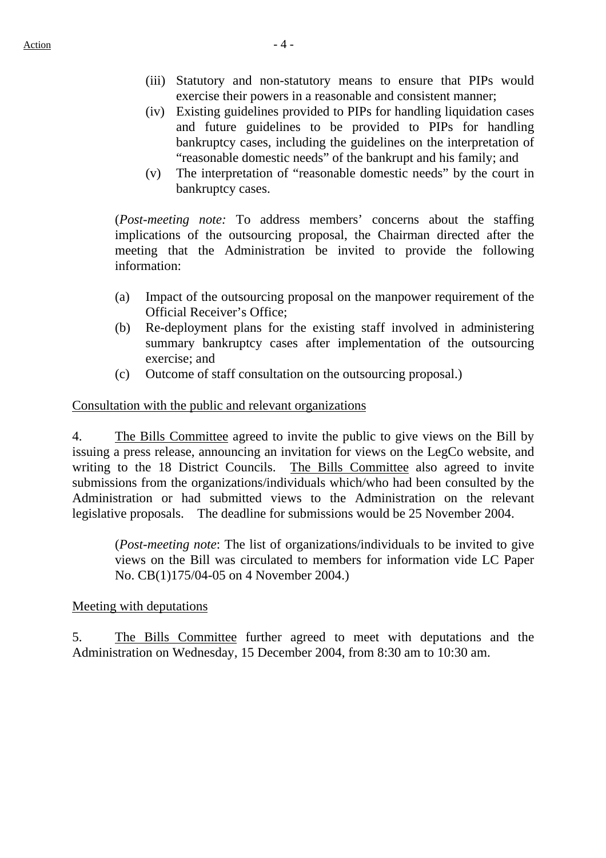- (iii) Statutory and non-statutory means to ensure that PIPs would exercise their powers in a reasonable and consistent manner;
- (iv) Existing guidelines provided to PIPs for handling liquidation cases and future guidelines to be provided to PIPs for handling bankruptcy cases, including the guidelines on the interpretation of "reasonable domestic needs" of the bankrupt and his family; and
- (v) The interpretation of "reasonable domestic needs" by the court in bankruptcy cases.

(*Post-meeting note:* To address members' concerns about the staffing implications of the outsourcing proposal, the Chairman directed after the meeting that the Administration be invited to provide the following information:

- (a) Impact of the outsourcing proposal on the manpower requirement of the Official Receiver's Office;
- (b) Re-deployment plans for the existing staff involved in administering summary bankruptcy cases after implementation of the outsourcing exercise; and
- (c) Outcome of staff consultation on the outsourcing proposal.)

#### Consultation with the public and relevant organizations

4. The Bills Committee agreed to invite the public to give views on the Bill by issuing a press release, announcing an invitation for views on the LegCo website, and writing to the 18 District Councils. The Bills Committee also agreed to invite submissions from the organizations/individuals which/who had been consulted by the Administration or had submitted views to the Administration on the relevant legislative proposals. The deadline for submissions would be 25 November 2004.

(*Post-meeting note*: The list of organizations/individuals to be invited to give views on the Bill was circulated to members for information vide LC Paper No. CB(1)175/04-05 on 4 November 2004.)

#### Meeting with deputations

5. The Bills Committee further agreed to meet with deputations and the Administration on Wednesday, 15 December 2004, from 8:30 am to 10:30 am.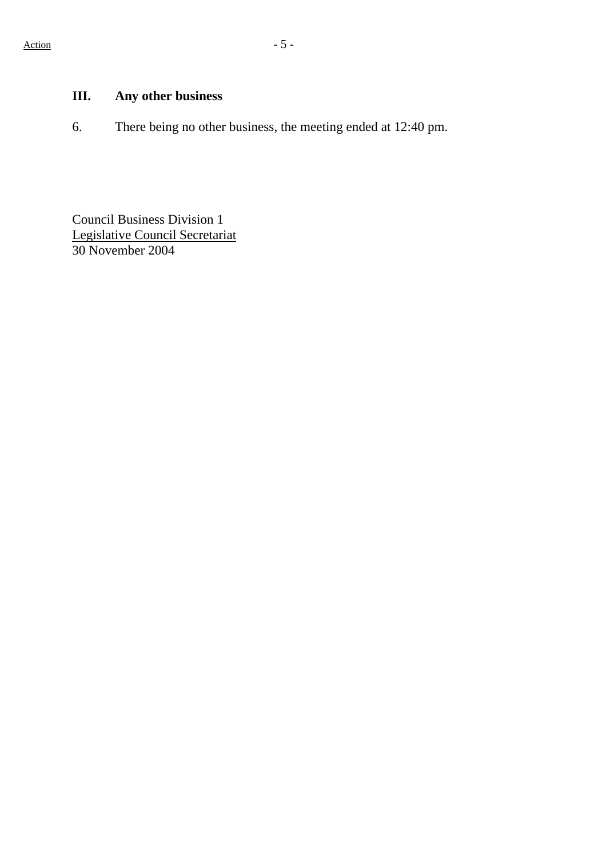# **III. Any other business**

6. There being no other business, the meeting ended at 12:40 pm.

Council Business Division 1 Legislative Council Secretariat 30 November 2004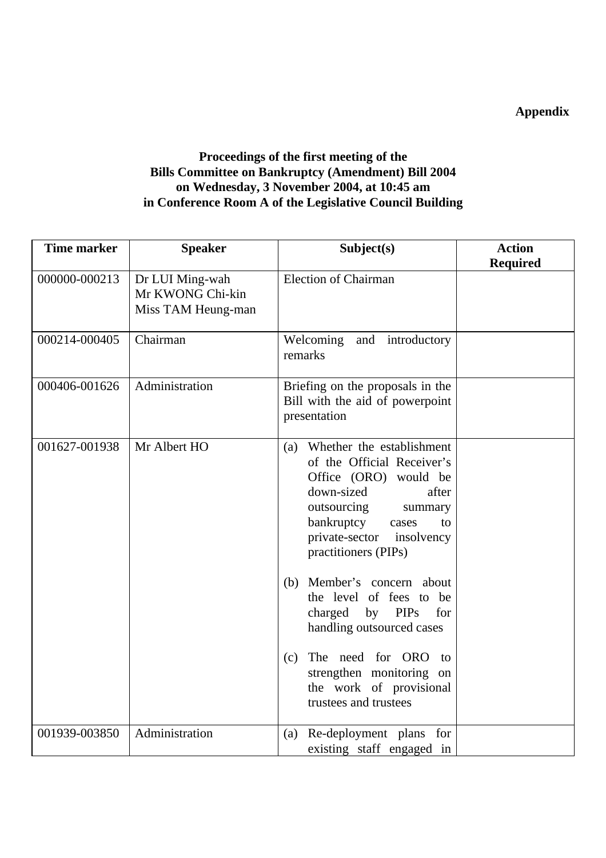# **Appendix**

## **Proceedings of the first meeting of the Bills Committee on Bankruptcy (Amendment) Bill 2004 on Wednesday, 3 November 2004, at 10:45 am in Conference Room A of the Legislative Council Building**

| <b>Time marker</b> | <b>Speaker</b>                                            | Subject(s)                                                                                                                                                                                                                                                                                                                                                                                                                                                        | <b>Action</b>   |
|--------------------|-----------------------------------------------------------|-------------------------------------------------------------------------------------------------------------------------------------------------------------------------------------------------------------------------------------------------------------------------------------------------------------------------------------------------------------------------------------------------------------------------------------------------------------------|-----------------|
| 000000-000213      | Dr LUI Ming-wah<br>Mr KWONG Chi-kin<br>Miss TAM Heung-man | <b>Election of Chairman</b>                                                                                                                                                                                                                                                                                                                                                                                                                                       | <b>Required</b> |
| 000214-000405      | Chairman                                                  | Welcoming<br>introductory<br>and<br>remarks                                                                                                                                                                                                                                                                                                                                                                                                                       |                 |
| 000406-001626      | Administration                                            | Briefing on the proposals in the<br>Bill with the aid of powerpoint<br>presentation                                                                                                                                                                                                                                                                                                                                                                               |                 |
| 001627-001938      | Mr Albert HO                                              | Whether the establishment<br>(a)<br>of the Official Receiver's<br>Office (ORO) would be<br>down-sized<br>after<br>outsourcing<br>summary<br>bankruptcy<br>cases<br>to<br>private-sector<br>insolvency<br>practitioners (PIPs)<br>Member's concern about<br>(b)<br>the level of fees to be<br>charged by PIPs<br>for<br>handling outsourced cases<br>The need for ORO<br>(c)<br>to<br>strengthen monitoring on<br>the work of provisional<br>trustees and trustees |                 |
| 001939-003850      | Administration                                            | Re-deployment plans for<br>(a)<br>existing staff engaged in                                                                                                                                                                                                                                                                                                                                                                                                       |                 |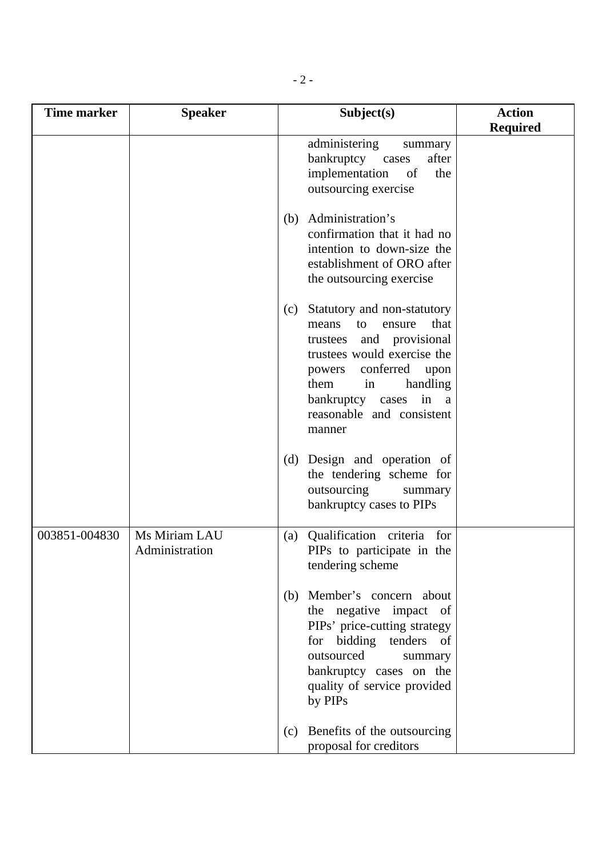| <b>Time marker</b> | <b>Speaker</b> |     | Subject(s)                                               | <b>Action</b>   |
|--------------------|----------------|-----|----------------------------------------------------------|-----------------|
|                    |                |     | administering<br>summary                                 | <b>Required</b> |
|                    |                |     | bankruptcy cases<br>after                                |                 |
|                    |                |     | implementation<br>of<br>the                              |                 |
|                    |                |     | outsourcing exercise                                     |                 |
|                    |                | (b) | Administration's                                         |                 |
|                    |                |     | confirmation that it had no                              |                 |
|                    |                |     | intention to down-size the<br>establishment of ORO after |                 |
|                    |                |     | the outsourcing exercise                                 |                 |
|                    |                | (c) | Statutory and non-statutory                              |                 |
|                    |                |     | that<br>ensure<br>means<br>to                            |                 |
|                    |                |     | trustees and provisional<br>trustees would exercise the  |                 |
|                    |                |     | powers conferred<br>upon                                 |                 |
|                    |                |     | handling<br>them<br>in                                   |                 |
|                    |                |     | bankruptcy cases in a<br>reasonable and consistent       |                 |
|                    |                |     | manner                                                   |                 |
|                    |                | (d) | Design and operation of                                  |                 |
|                    |                |     | the tendering scheme for                                 |                 |
|                    |                |     | outsourcing<br>summary<br>bankruptcy cases to PIPs       |                 |
|                    |                |     |                                                          |                 |
| 003851-004830      | Ms Miriam LAU  | (a) | Qualification criteria for                               |                 |
|                    | Administration |     | PIPs to participate in the<br>tendering scheme           |                 |
|                    |                |     |                                                          |                 |
|                    |                | (b) | Member's concern about                                   |                 |
|                    |                |     | the negative impact of<br>PIPs' price-cutting strategy   |                 |
|                    |                |     | for bidding tenders of                                   |                 |
|                    |                |     | outsourced<br>summary                                    |                 |
|                    |                |     | bankruptcy cases on the<br>quality of service provided   |                 |
|                    |                |     | by PIPs                                                  |                 |
|                    |                | (c) | Benefits of the outsourcing                              |                 |
|                    |                |     | proposal for creditors                                   |                 |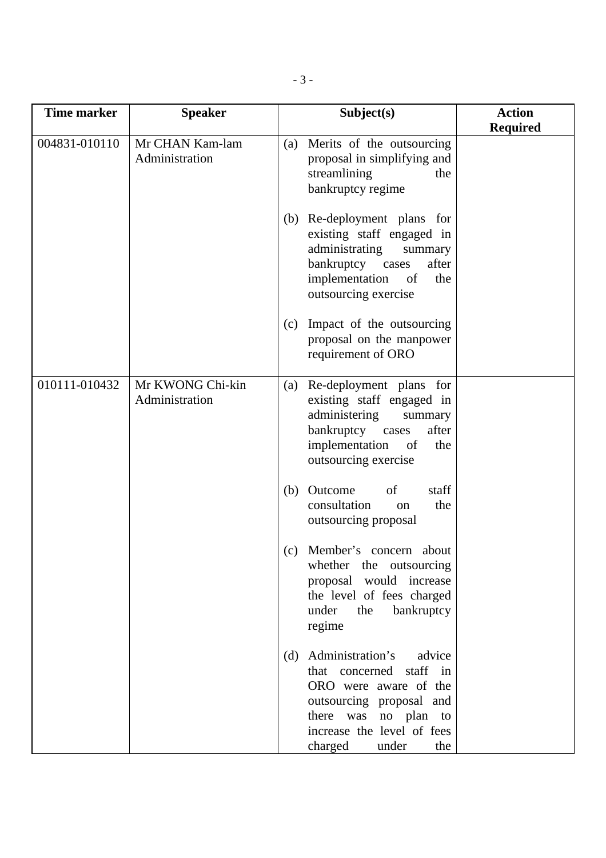| <b>Time marker</b> | <b>Speaker</b>                     | Subject(s)                                                                                                                                                                                            | <b>Action</b><br><b>Required</b> |
|--------------------|------------------------------------|-------------------------------------------------------------------------------------------------------------------------------------------------------------------------------------------------------|----------------------------------|
| 004831-010110      | Mr CHAN Kam-lam<br>Administration  | Merits of the outsourcing<br>(a)<br>proposal in simplifying and<br>streamlining<br>the<br>bankruptcy regime                                                                                           |                                  |
|                    |                                    | (b) Re-deployment plans for<br>existing staff engaged in<br>administrating<br>summary<br>bankruptcy cases<br>after<br>implementation<br>of<br>the<br>outsourcing exercise                             |                                  |
|                    |                                    | Impact of the outsourcing<br>(c)<br>proposal on the manpower<br>requirement of ORO                                                                                                                    |                                  |
| 010111-010432      | Mr KWONG Chi-kin<br>Administration | Re-deployment plans for<br>(a)<br>existing staff engaged in<br>administering<br>summary<br>bankruptcy cases<br>after<br>implementation<br>of<br>the<br>outsourcing exercise                           |                                  |
|                    |                                    | Outcome<br>of<br>staff<br>(b)<br>consultation<br>the<br>on<br>outsourcing proposal                                                                                                                    |                                  |
|                    |                                    | Member's concern about<br>(c)<br>the outsourcing<br>whether<br>proposal would increase<br>the level of fees charged<br>under<br>bankruptcy<br>the<br>regime                                           |                                  |
|                    |                                    | Administration's<br>advice<br>(d)<br>staff in<br>that concerned<br>ORO were aware of the<br>outsourcing proposal and<br>there was no plan to<br>increase the level of fees<br>charged<br>under<br>the |                                  |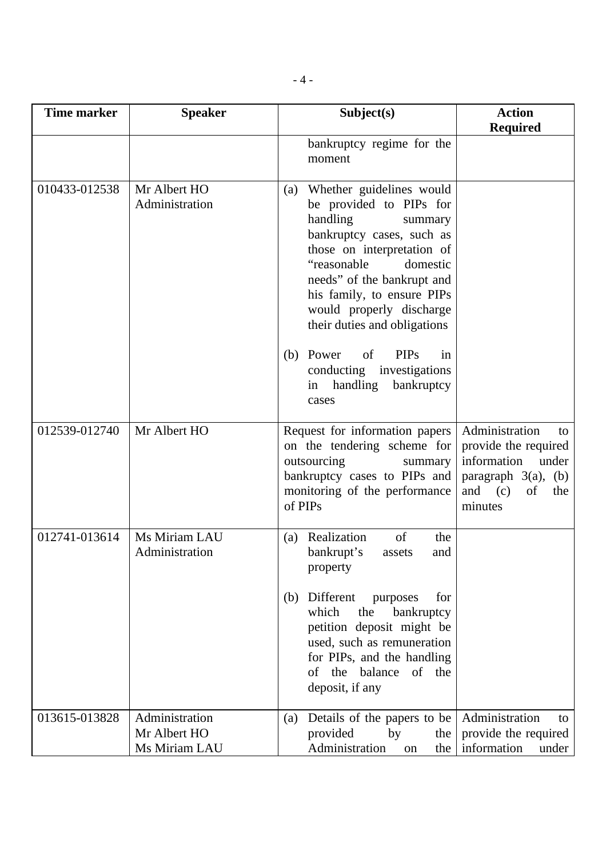| <b>Time marker</b> | <b>Speaker</b>                                  | Subject(s)                                                                                                                                                                                                                                                                                                                                                                                                     | <b>Action</b><br><b>Required</b>                                                                                                    |
|--------------------|-------------------------------------------------|----------------------------------------------------------------------------------------------------------------------------------------------------------------------------------------------------------------------------------------------------------------------------------------------------------------------------------------------------------------------------------------------------------------|-------------------------------------------------------------------------------------------------------------------------------------|
|                    |                                                 | bankruptcy regime for the<br>moment                                                                                                                                                                                                                                                                                                                                                                            |                                                                                                                                     |
| 010433-012538      | Mr Albert HO<br>Administration                  | Whether guidelines would<br>(a)<br>be provided to PIPs for<br>handling<br>summary<br>bankruptcy cases, such as<br>those on interpretation of<br>"reasonable"<br>domestic<br>needs" of the bankrupt and<br>his family, to ensure PIPs<br>would properly discharge<br>their duties and obligations<br><b>PIPs</b><br>(b) Power<br>of<br>in<br>conducting investigations<br>handling<br>bankruptcy<br>in<br>cases |                                                                                                                                     |
| 012539-012740      | Mr Albert HO                                    | Request for information papers<br>on the tendering scheme for<br>outsourcing<br>summary<br>bankruptcy cases to PIPs and<br>monitoring of the performance<br>of PIPs                                                                                                                                                                                                                                            | Administration<br>to<br>provide the required<br>information<br>under<br>paragraph $3(a)$ , (b)<br>and $(c)$<br>of<br>the<br>minutes |
| 012741-013614      | Ms Miriam LAU<br>Administration                 | Realization<br>of<br>the<br>(a)<br>bankrupt's<br>assets<br>and<br>property<br>Different<br>purposes<br>for<br>(b)<br>which<br>the<br>bankruptcy<br>petition deposit might be<br>used, such as remuneration<br>for PIPs, and the handling<br>of the<br>of the balance<br>deposit, if any                                                                                                                        |                                                                                                                                     |
| 013615-013828      | Administration<br>Mr Albert HO<br>Ms Miriam LAU | Details of the papers to be<br>(a)<br>provided<br>by<br>the<br>Administration<br>the<br>on                                                                                                                                                                                                                                                                                                                     | Administration<br>to<br>provide the required<br>information<br>under                                                                |